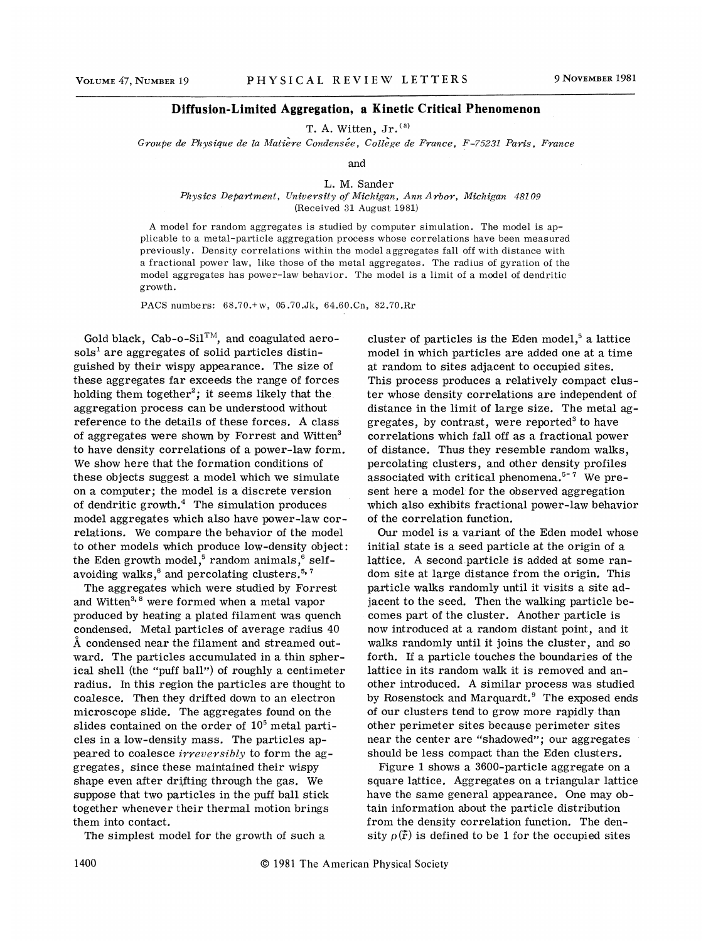## Diffusion-Limited Aggregation, a Kinetic Critical Phenomenon

T. A. Witten,  $Jr'$ .  $(3)$ 

Groupe de Physique de la Matière Condensée, Collège de France, F-75231 Paris, France

and

## I. M. Sander

I'hysics Department, University of Michigan, &nn &rbox, Michigan 48109 (Received 31 August 1981)

<sup>A</sup> model for random aggregates is studied by computer simulation. The model is applicable to a metal-particle aggregation process whose correlations have been measured previously. Density correlations within the model aggregates fall off with distance with a fractional power law, like those of the metal aggregates. The radius of gyration of the model aggregates has power-law behavior. The model is a limit of a model of dendritic growth.

PACS numbers: 68.70.+w, 05.70.Jk, 64.60.Cn, 82.70.Rr

Gold black, Cab-o-Sil<sup>TM</sup>, and coagulated aerosols' are aggregates of solid particles distinguished by their wispy appearance. The size of these aggregates far exceeds the range of forces holding them together<sup>2</sup>; it seems likely that the aggregation process can be understood without reference to the details of these forces. A class of aggregates were shown by Forrest and Witten' to have density correlations of a power-law form. We show here that the formation conditions of these objects suggest a model which we simulate on a computer; the mode1 is a discrete version of dendritic growth. $4$  The simulation produces model aggregates which also have power-law correlations. We compare the behavior of the model to other models which produce low-density object: the Eden growth model,<sup>5</sup> random animals, $<sup>6</sup>$  self-</sup> avoiding walks,<sup>6</sup> and percolating clusters.<sup>5,7</sup>

The aggregates which were studied by Forrest and Witten<sup>3, 8</sup> were formed when a metal vapor produced by heating a plated filament was quench condensed. Metal particles of average radius 40 A condensed near the filament and streamed outward. The particles accumulated in a thin spherical shell (the "puff ball") of roughly a centimeter radius. In this region the particles are thought to coalesce. Then they drifted down to an electron microscope slide. The aggregates found on the slides contained on the order of  $10<sup>5</sup>$  metal particles in a low-density mass. The particles appeared to coalesce *irreversibly* to form the aggregates, since these maintained their wispy shape even after drifting through the gas. We suppose that two particles in the puff ball stick together whenever their thermal motion brings them into contact.

The simplest model for the growth of such a

dom site at large distance from the origin. This particle walks randomly until it visits a site adjacent to the seed. Then the walking particle becomes part of the cluster. Another particle is now introduced at a random distant point, and it walks randomly until it joins the cluster, and so forth. If a particle touches the boundaries of the lattice in its random walk it is removed and another introduced. A similar process was studied

of the correlation function.

 ${\rm cluster~of~particles~is~the~Eden~model,}^5$  a lattice model in which particles are added one at a time at random to sites adjacent to occupied sites. This process produces a relatively compact cluster whose density correlations are independent of distance in the limit of large size. The metal aggregates, by contrast, were reported' to have correlations which fall off as a fractional power of distance. Thus they resemble random walks, percolating clusters, and other density profiles associated with critical phenomena. $5 - 7$  We present here a model for the observed aggregation which also exhibits fractional power-law behavior

by Rosenstock and Marquardt.<sup>9</sup> The exposed ends of our clusters tend to grow more rapidly than other perimeter sites because perimeter sites near the center are "shadowed"; our aggregates should be less compact than the Eden clusters.

Our model is a variant of the Eden model whose initial state is a seed particle at the origin of a lattice. A second particle is added at some ran-

Figure 1 shows a 3600-particle aggregate on a square lattice. Aggregates on a triangular lattice have the same general appearance. One may obtain information about the particle distribution from the density correlation function. The density  $\rho(\vec{r})$  is defined to be 1 for the occupied sites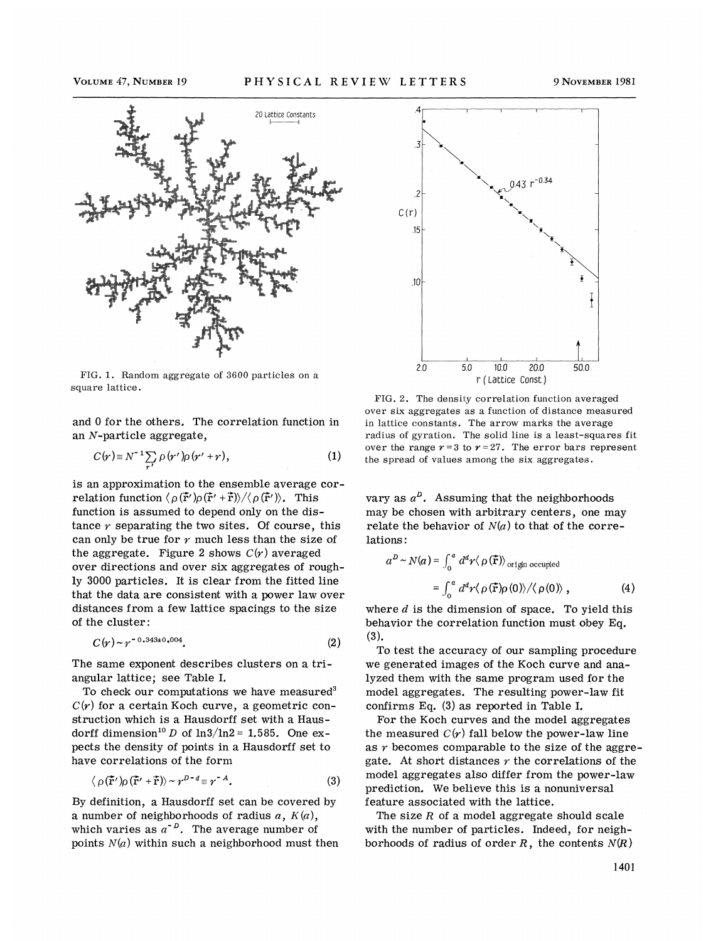

FIG. 1. Random aggregate of 3600 particles on a square lattice.

and 0 for the others. The correlation function in an N-particle aggregate,

$$
C(r) \equiv N^{-1} \sum_{r} \rho(r') \rho(r' + r), \qquad (1)
$$

is an approximation to the ensemble average correlation function  $\langle \rho(\vec{r}') \rho(\vec{r}'+\vec{r}) \rangle / \langle \rho(\vec{r}') \rangle$ . This function is assumed to depend only on the distance  $r$  separating the two sites. Of course, this can only be true for  $r$  much less than the size of the aggregate. Figure 2 shows  $C(r)$  averaged over directions and over six aggregates of roughly 3000 particles. It is clear from the fitted line that the data are consistent with a power law over distances from a few lattice spacings to the size of the cluster:

$$
C(r) \sim r^{-0.343 \pm 0.004}.
$$
 (2)

The same exponent describes clusters on a triangular lattice; see Table I.

To check our computations we have measured'  $C(r)$  for a certain Koch curve, a geometric construction which is a Hausdorff set with a Hausdorff dimension<sup>10</sup> D of  $ln3/ln2 = 1.585$ . One expects the density of points in a Hausdorff set to have correlations of the form

$$
\langle \rho(\mathbf{\vec{r}}') \rho(\mathbf{\vec{r}}' + \mathbf{\vec{r}}) \rangle \sim r^{D-d} \equiv r^{-A}.
$$
 (3)

By definition, a Hausdorff set can be covered by a number of neighborhoods of radius  $a, K(a)$ , which varies as  $a^{-D}$ . The average number of points  $N(a)$  within such a neighborhood must then



FIG. 2. The density correlation function averaged over six aggregates as a function of distance measured in lattice constants. The arrow marks the average radius of gyration. The solid line is a least-squares fit over the range  $r = 3$  to  $r = 27$ . The error bars represent the spread of values among the six aggregates.

vary as  $a^D$ . Assuming that the neighborhoods may be chosen with arbitrary centers, one may relate the behavior of  $N(a)$  to that of the correlations:

$$
a^{D} \sim N(a) = \int_0^a d^d r \langle \rho(\vec{\mathbf{r}}) \rangle_{\text{origin occupied}}
$$
  
= 
$$
\int_0^a d^d r \langle \rho(\vec{\mathbf{r}}) \rho(0) \rangle / \langle \rho(0) \rangle ,
$$
 (4)

where  $d$  is the dimension of space. To yield this behavior the correlation function must obey Eq. (3).

To test the accuracy of our sampling procedure we generated images of the Koch curve and analyzed them with the same program used for the model aggregates. The resulting power-law fit confirms Eq. (3) as reported in Table I.

For the Koch curves and the model aggregates the measured  $C(r)$  fall below the power-law line as  $r$  becomes comparable to the size of the aggregate. At short distances  $r$  the correlations of the model aggregates also differ from the power-law prediction. We believe this is a nonuniversal feature associated with the lattice.

The size  $R$  of a model aggregate should scale with the number of particles. Indeed, for neighborhoods of radius of order  $R$ , the contents  $N(R)$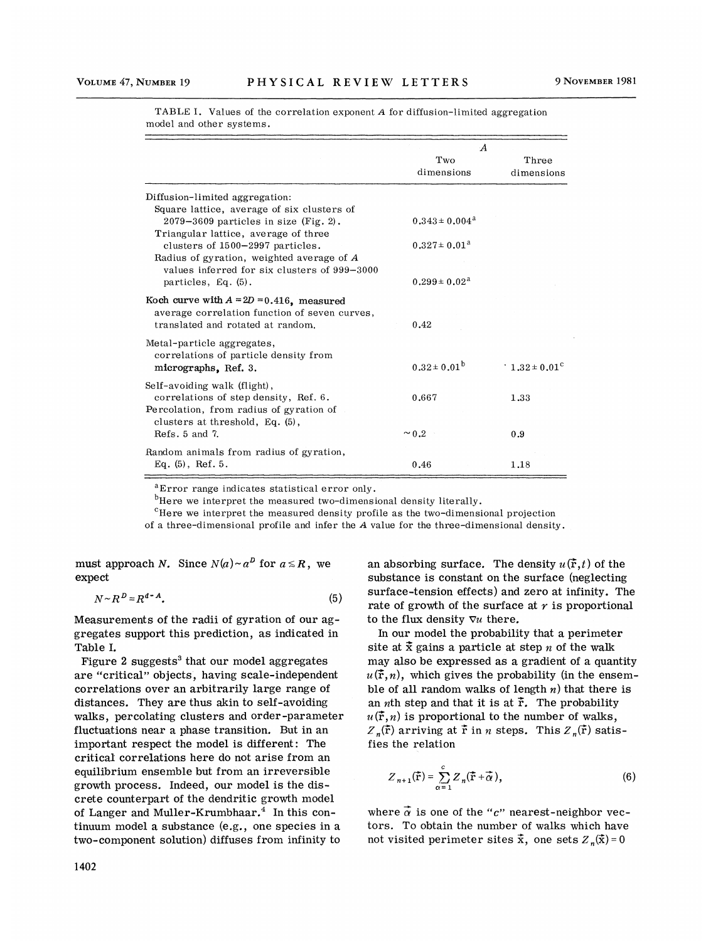|                                               | A                           |                         |
|-----------------------------------------------|-----------------------------|-------------------------|
|                                               | Two<br>dimensions           | Three<br>dimensions     |
|                                               |                             |                         |
| Diffusion-limited aggregation:                |                             |                         |
| Square lattice, average of six clusters of    |                             |                         |
| $2079 - 3609$ particles in size (Fig. 2).     | $0.343 \pm 0.004^a$         |                         |
| Triangular lattice, average of three          |                             |                         |
| clusters of 1500-2997 particles.              | $0.327 \pm 0.01^{\text{a}}$ |                         |
| Radius of gyration, weighted average of $A$   |                             |                         |
| values inferred for six clusters of 999-3000  |                             |                         |
| particles, Eq. (5).                           | $0.299 \pm 0.02^a$          |                         |
| Koch curve with $A = 2D = 0.416$ , measured   |                             |                         |
| average correlation function of seven curves, |                             |                         |
| translated and rotated at random.             | 0.42                        |                         |
|                                               |                             |                         |
| Metal-particle aggregates,                    |                             |                         |
| correlations of particle density from         | $0.32 \pm 0.01^{\rm b}$     | $1.32 \pm 0.01^{\circ}$ |
| micrographs, Ref. 3.                          |                             |                         |
| Self-avoiding walk (flight),                  |                             |                         |
| correlations of step density, Ref. 6.         | 0.667                       | 1.33                    |
| Percolation, from radius of gyration of       |                             |                         |
| clusters at threshold, Eq. (5),               |                             |                         |
| Refs. 5 and 7.                                | $\sim 0.2$                  | 0.9                     |
| Random animals from radius of gyration,       |                             |                         |
| Eq. $(5)$ , Ref. 5.                           | 0.46                        | 1.18                    |

TABLE I. Values of the correlation exponent A for diffusion-limited aggregation model and other systems.

Error range indicates statistical error only.

<sup>b</sup>Here we interpret the measured two-dimensional density literally.

<sup>c</sup>Here we interpret the measured density profile as the two-dimensional projection

of a three-dimensional profile and infer the A value for the three-dimensional density.

must approach N. Since  $N(a) \sim a^D$  for  $a \le R$ , we expect

$$
N \sim R^D = R^{d - A}.\tag{5}
$$

Measurements of the radii of gyration of our aggregates support this prediction, as indicated in Table I.

Figure 2 suggests' that our model aggregates are "critical" objects, having scale-independent correlations over an arbitrarily large range of distances. They are thus akin to self-avoiding walks, percolating clusters and order-parameter fluctuations near a phase transition. But in an important respect the model is different: The critical correlations here do not arise from an equilibrium ensemble but from an irreversible growth process. Indeed, our model is the discrete counterpart of the dendritic growth model of Langer and Muller-Krumbhaar. $4$  In this continuum model a substance (e.g., one species in a two-component solution) diffuses from infinity to

an absorbing surface. The density  $u(\mathbf{r},t)$  of the substance is constant on the surface (neglecting surface-tension effects) and zero at infinity. The rate of growth of the surface at  $r$  is proportional to the flux density  $\nabla u$  there.

In our model the probability that a perimeter site at  $\bar{x}$  gains a particle at step *n* of the walk may also be expressed as a gradient of a quantity  $u(\tilde{\mathbf{r}}, n)$ , which gives the probability (in the ensemble of all random walks of length  $n)$  that there is an *n*th step and that it is at  $\bar{r}$ . The probability  $u(\tilde{r}, n)$  is proportional to the number of walks,  $Z_n(\tilde{r})$  arriving at  $\tilde{r}$  in *n* steps. This  $Z_n(\tilde{r})$  satisfies the relation

$$
Z_{n+1}(\tilde{\mathbf{r}}) = \sum_{\alpha=1}^{c} Z_n(\tilde{\mathbf{r}} + \vec{\alpha}), \qquad (6)
$$

where  $\vec{\alpha}$  is one of the "c" nearest-neighbor vectors. To obtain the number of walks which have not visited perimeter sites  $\vec{x}$ , one sets  $Z_n(\vec{x}) = 0$